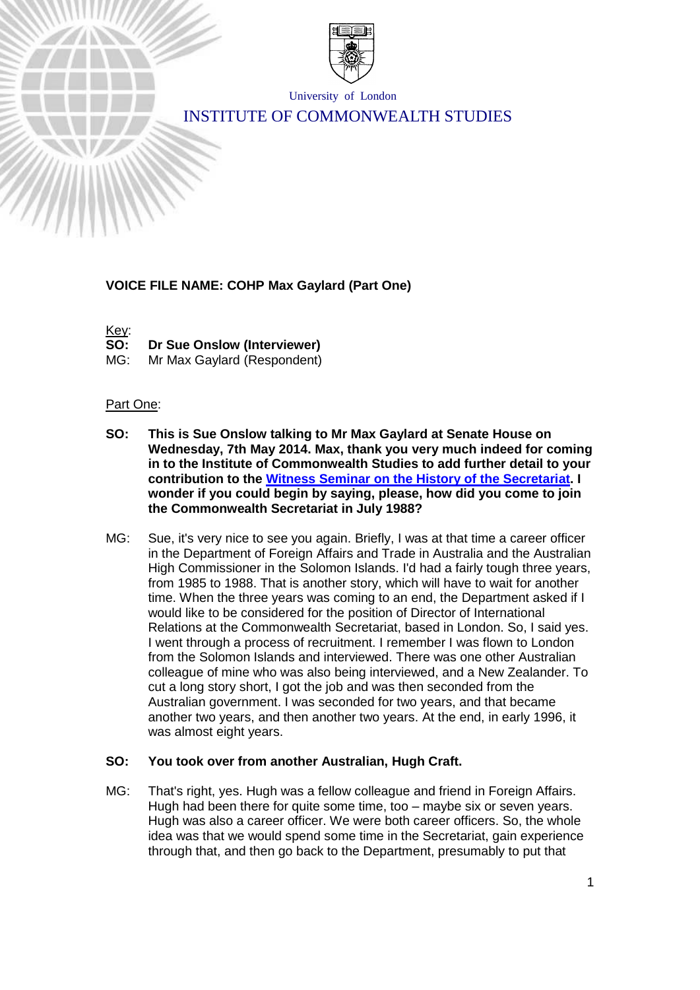

University of London

# INSTITUTE OF COMMONWEALTH STUDIES

### **VOICE FILE NAME: COHP Max Gaylard (Part One)**

Key:<br>SO:

**Dr Sue Onslow (Interviewer)** 

MG: Mr Max Gaylard (Respondent)

#### Part One:

- **SO: This is Sue Onslow talking to Mr Max Gaylard at Senate House on Wednesday, 7th May 2014. Max, thank you very much indeed for coming in to the Institute of Commonwealth Studies to add further detail to your contribution to the [Witness Seminar on the History of the Secretariat.](http://www.commonwealthoralhistories.org/witness-seminar-the-heartbeat/) I wonder if you could begin by saying, please, how did you come to join the Commonwealth Secretariat in July 1988?**
- MG: Sue, it's very nice to see you again. Briefly, I was at that time a career officer in the Department of Foreign Affairs and Trade in Australia and the Australian High Commissioner in the Solomon Islands. I'd had a fairly tough three years, from 1985 to 1988. That is another story, which will have to wait for another time. When the three years was coming to an end, the Department asked if I would like to be considered for the position of Director of International Relations at the Commonwealth Secretariat, based in London. So, I said yes. I went through a process of recruitment. I remember I was flown to London from the Solomon Islands and interviewed. There was one other Australian colleague of mine who was also being interviewed, and a New Zealander. To cut a long story short, I got the job and was then seconded from the Australian government. I was seconded for two years, and that became another two years, and then another two years. At the end, in early 1996, it was almost eight years.

### **SO: You took over from another Australian, Hugh Craft.**

MG: That's right, yes. Hugh was a fellow colleague and friend in Foreign Affairs. Hugh had been there for quite some time, too – maybe six or seven years. Hugh was also a career officer. We were both career officers. So, the whole idea was that we would spend some time in the Secretariat, gain experience through that, and then go back to the Department, presumably to put that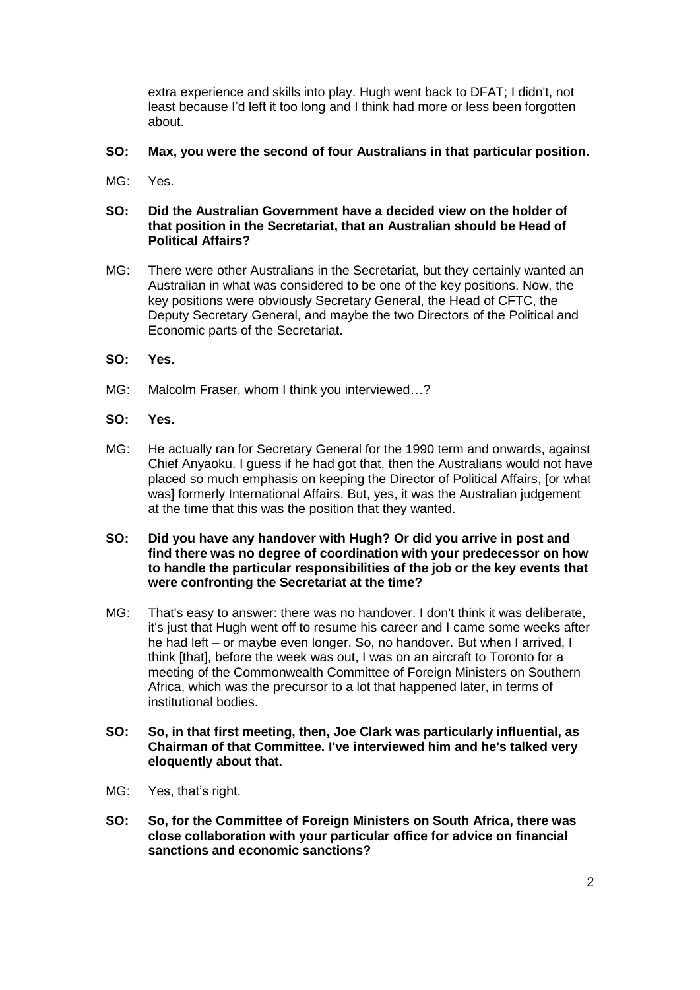extra experience and skills into play. Hugh went back to DFAT; I didn't, not least because I'd left it too long and I think had more or less been forgotten about.

#### **SO: Max, you were the second of four Australians in that particular position.**

MG: Yes.

### **SO: Did the Australian Government have a decided view on the holder of that position in the Secretariat, that an Australian should be Head of Political Affairs?**

- MG: There were other Australians in the Secretariat, but they certainly wanted an Australian in what was considered to be one of the key positions. Now, the key positions were obviously Secretary General, the Head of CFTC, the Deputy Secretary General, and maybe the two Directors of the Political and Economic parts of the Secretariat.
- **SO: Yes.**
- MG: Malcolm Fraser, whom I think you interviewed...?
- **SO: Yes.**
- MG: He actually ran for Secretary General for the 1990 term and onwards, against Chief Anyaoku. I guess if he had got that, then the Australians would not have placed so much emphasis on keeping the Director of Political Affairs, [or what was] formerly International Affairs. But, yes, it was the Australian judgement at the time that this was the position that they wanted.
- **SO: Did you have any handover with Hugh? Or did you arrive in post and find there was no degree of coordination with your predecessor on how to handle the particular responsibilities of the job or the key events that were confronting the Secretariat at the time?**
- MG: That's easy to answer: there was no handover. I don't think it was deliberate, it's just that Hugh went off to resume his career and I came some weeks after he had left – or maybe even longer. So, no handover. But when I arrived, I think [that], before the week was out, I was on an aircraft to Toronto for a meeting of the Commonwealth Committee of Foreign Ministers on Southern Africa, which was the precursor to a lot that happened later, in terms of institutional bodies.
- **SO: So, in that first meeting, then, Joe Clark was particularly influential, as Chairman of that Committee. I've interviewed him and he's talked very eloquently about that.**
- MG: Yes, that's right.
- **SO: So, for the Committee of Foreign Ministers on South Africa, there was close collaboration with your particular office for advice on financial sanctions and economic sanctions?**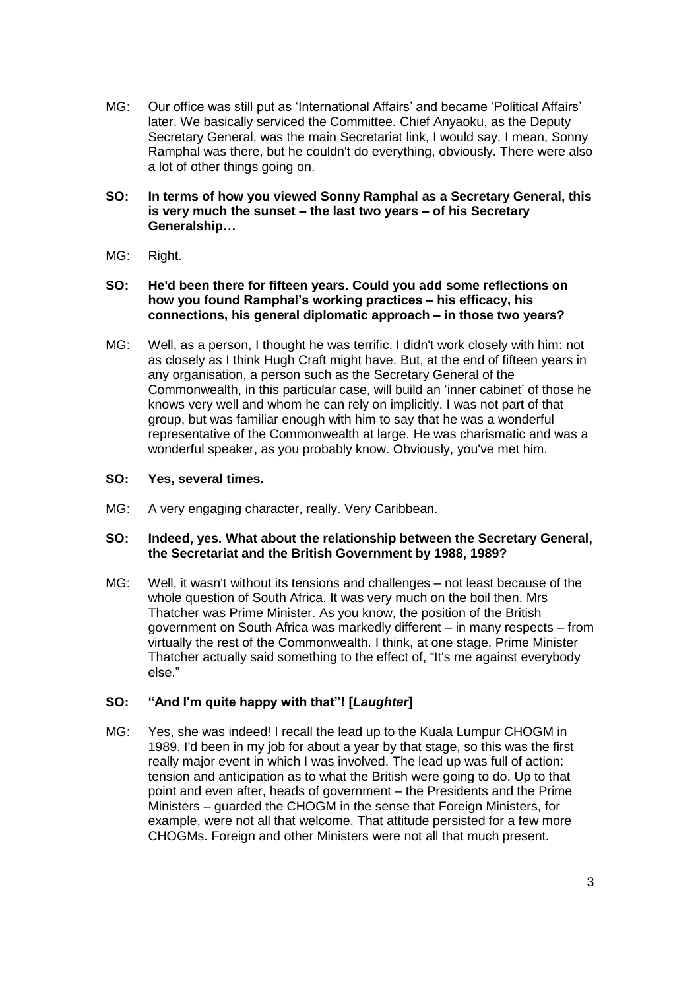MG: Our office was still put as 'International Affairs' and became 'Political Affairs' later. We basically serviced the Committee. Chief Anyaoku, as the Deputy Secretary General, was the main Secretariat link, I would say. I mean, Sonny Ramphal was there, but he couldn't do everything, obviously. There were also a lot of other things going on.

#### **SO: In terms of how you viewed Sonny Ramphal as a Secretary General, this is very much the sunset – the last two years – of his Secretary Generalship…**

MG: Right.

### **SO: He'd been there for fifteen years. Could you add some reflections on how you found Ramphal's working practices – his efficacy, his connections, his general diplomatic approach – in those two years?**

MG: Well, as a person, I thought he was terrific. I didn't work closely with him: not as closely as I think Hugh Craft might have. But, at the end of fifteen years in any organisation, a person such as the Secretary General of the Commonwealth, in this particular case, will build an 'inner cabinet' of those he knows very well and whom he can rely on implicitly. I was not part of that group, but was familiar enough with him to say that he was a wonderful representative of the Commonwealth at large. He was charismatic and was a wonderful speaker, as you probably know. Obviously, you've met him.

### **SO: Yes, several times.**

MG: A very engaging character, really. Very Caribbean.

#### **SO: Indeed, yes. What about the relationship between the Secretary General, the Secretariat and the British Government by 1988, 1989?**

MG: Well, it wasn't without its tensions and challenges – not least because of the whole question of South Africa. It was very much on the boil then. Mrs Thatcher was Prime Minister. As you know, the position of the British government on South Africa was markedly different – in many respects – from virtually the rest of the Commonwealth. I think, at one stage, Prime Minister Thatcher actually said something to the effect of, "It's me against everybody else."

# **SO: "And I'm quite happy with that"! [***Laughter***]**

MG: Yes, she was indeed! I recall the lead up to the Kuala Lumpur CHOGM in 1989. I'd been in my job for about a year by that stage, so this was the first really major event in which I was involved. The lead up was full of action: tension and anticipation as to what the British were going to do. Up to that point and even after, heads of government – the Presidents and the Prime Ministers – guarded the CHOGM in the sense that Foreign Ministers, for example, were not all that welcome. That attitude persisted for a few more CHOGMs. Foreign and other Ministers were not all that much present.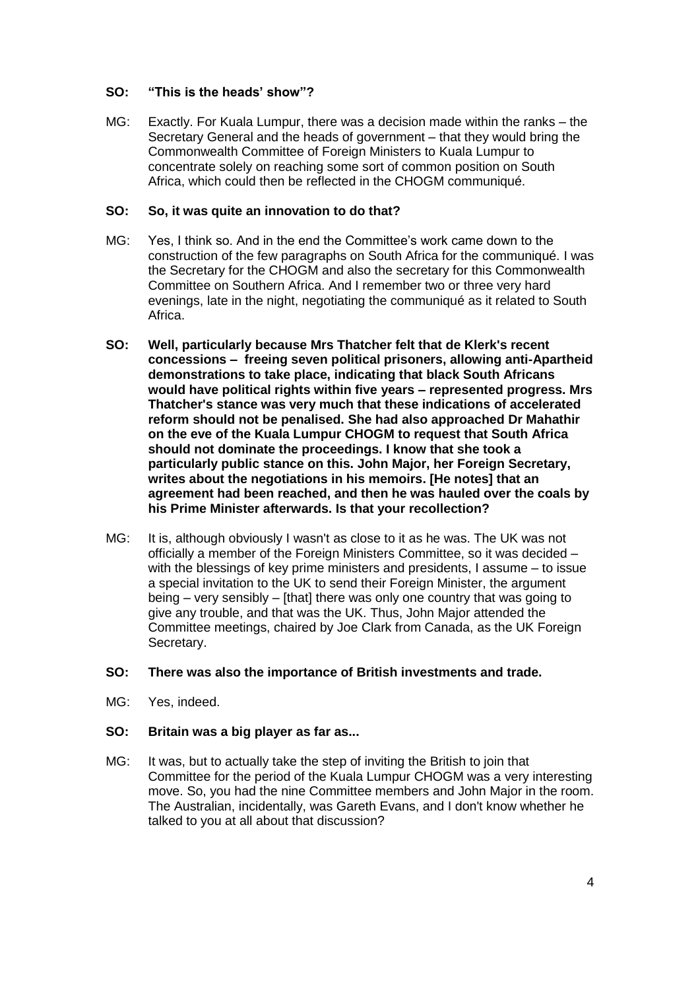### **SO: "This is the heads' show"?**

MG: Exactly. For Kuala Lumpur, there was a decision made within the ranks – the Secretary General and the heads of government – that they would bring the Commonwealth Committee of Foreign Ministers to Kuala Lumpur to concentrate solely on reaching some sort of common position on South Africa, which could then be reflected in the CHOGM communiqué.

#### **SO: So, it was quite an innovation to do that?**

- MG: Yes, I think so. And in the end the Committee's work came down to the construction of the few paragraphs on South Africa for the communiqué. I was the Secretary for the CHOGM and also the secretary for this Commonwealth Committee on Southern Africa. And I remember two or three very hard evenings, late in the night, negotiating the communiqué as it related to South Africa.
- **SO: Well, particularly because Mrs Thatcher felt that de Klerk's recent concessions – freeing seven political prisoners, allowing anti-Apartheid demonstrations to take place, indicating that black South Africans would have political rights within five years – represented progress. Mrs Thatcher's stance was very much that these indications of accelerated reform should not be penalised. She had also approached Dr Mahathir on the eve of the Kuala Lumpur CHOGM to request that South Africa should not dominate the proceedings. I know that she took a particularly public stance on this. John Major, her Foreign Secretary, writes about the negotiations in his memoirs. [He notes] that an agreement had been reached, and then he was hauled over the coals by his Prime Minister afterwards. Is that your recollection?**
- MG: It is, although obviously I wasn't as close to it as he was. The UK was not officially a member of the Foreign Ministers Committee, so it was decided – with the blessings of key prime ministers and presidents, I assume – to issue a special invitation to the UK to send their Foreign Minister, the argument being – very sensibly – [that] there was only one country that was going to give any trouble, and that was the UK. Thus, John Major attended the Committee meetings, chaired by Joe Clark from Canada, as the UK Foreign Secretary.

#### **SO: There was also the importance of British investments and trade.**

MG: Yes, indeed.

#### **SO: Britain was a big player as far as...**

MG: It was, but to actually take the step of inviting the British to join that Committee for the period of the Kuala Lumpur CHOGM was a very interesting move. So, you had the nine Committee members and John Major in the room. The Australian, incidentally, was Gareth Evans, and I don't know whether he talked to you at all about that discussion?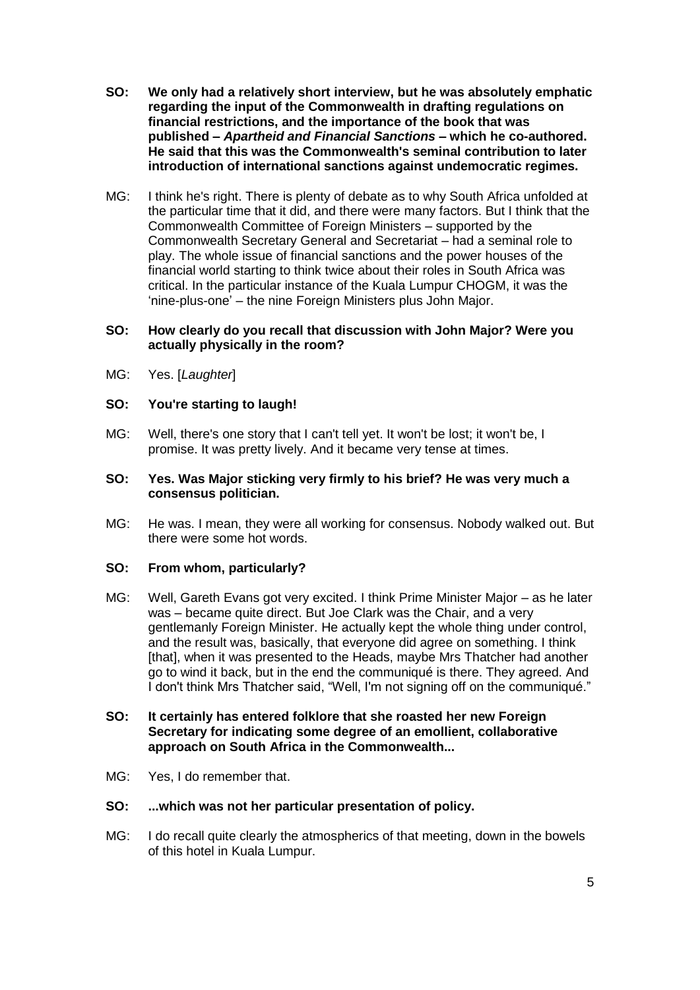- **SO: We only had a relatively short interview, but he was absolutely emphatic regarding the input of the Commonwealth in drafting regulations on financial restrictions, and the importance of the book that was published –** *Apartheid and Financial Sanctions* **– which he co-authored. He said that this was the Commonwealth's seminal contribution to later introduction of international sanctions against undemocratic regimes.**
- MG: I think he's right. There is plenty of debate as to why South Africa unfolded at the particular time that it did, and there were many factors. But I think that the Commonwealth Committee of Foreign Ministers – supported by the Commonwealth Secretary General and Secretariat – had a seminal role to play. The whole issue of financial sanctions and the power houses of the financial world starting to think twice about their roles in South Africa was critical. In the particular instance of the Kuala Lumpur CHOGM, it was the 'nine-plus-one' – the nine Foreign Ministers plus John Major.

#### **SO: How clearly do you recall that discussion with John Major? Were you actually physically in the room?**

MG: Yes. [*Laughter*]

#### **SO: You're starting to laugh!**

MG: Well, there's one story that I can't tell yet. It won't be lost; it won't be, I promise. It was pretty lively. And it became very tense at times.

#### **SO: Yes. Was Major sticking very firmly to his brief? He was very much a consensus politician.**

MG: He was. I mean, they were all working for consensus. Nobody walked out. But there were some hot words.

#### **SO: From whom, particularly?**

- MG: Well, Gareth Evans got very excited. I think Prime Minister Major as he later was – became quite direct. But Joe Clark was the Chair, and a very gentlemanly Foreign Minister. He actually kept the whole thing under control, and the result was, basically, that everyone did agree on something. I think [that], when it was presented to the Heads, maybe Mrs Thatcher had another go to wind it back, but in the end the communiqué is there. They agreed. And I don't think Mrs Thatcher said, "Well, I'm not signing off on the communiqué."
- **SO: It certainly has entered folklore that she roasted her new Foreign Secretary for indicating some degree of an emollient, collaborative approach on South Africa in the Commonwealth...**
- MG: Yes, I do remember that.

#### **SO: ...which was not her particular presentation of policy.**

MG: I do recall quite clearly the atmospherics of that meeting, down in the bowels of this hotel in Kuala Lumpur.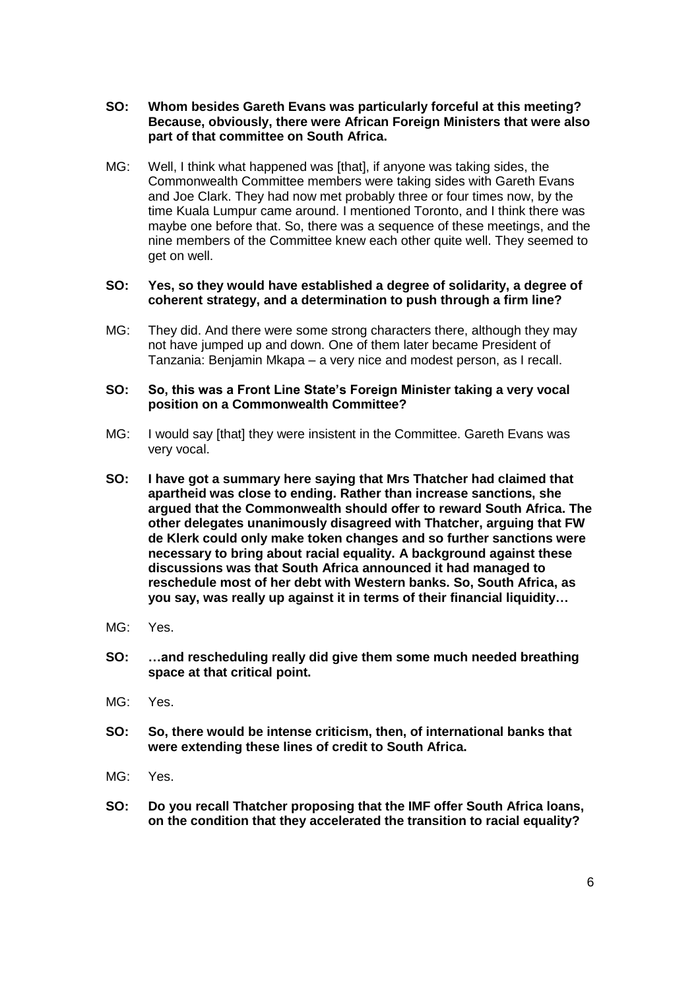- **SO: Whom besides Gareth Evans was particularly forceful at this meeting? Because, obviously, there were African Foreign Ministers that were also part of that committee on South Africa.**
- MG: Well, I think what happened was [that], if anyone was taking sides, the Commonwealth Committee members were taking sides with Gareth Evans and Joe Clark. They had now met probably three or four times now, by the time Kuala Lumpur came around. I mentioned Toronto, and I think there was maybe one before that. So, there was a sequence of these meetings, and the nine members of the Committee knew each other quite well. They seemed to get on well.

#### **SO: Yes, so they would have established a degree of solidarity, a degree of coherent strategy, and a determination to push through a firm line?**

MG: They did. And there were some strong characters there, although they may not have jumped up and down. One of them later became President of Tanzania: Benjamin Mkapa – a very nice and modest person, as I recall.

#### **SO: So, this was a Front Line State's Foreign Minister taking a very vocal position on a Commonwealth Committee?**

- MG: I would say [that] they were insistent in the Committee. Gareth Evans was very vocal.
- **SO: I have got a summary here saying that Mrs Thatcher had claimed that apartheid was close to ending. Rather than increase sanctions, she argued that the Commonwealth should offer to reward South Africa. The other delegates unanimously disagreed with Thatcher, arguing that FW de Klerk could only make token changes and so further sanctions were necessary to bring about racial equality. A background against these discussions was that South Africa announced it had managed to reschedule most of her debt with Western banks. So, South Africa, as you say, was really up against it in terms of their financial liquidity…**
- MG: Yes.
- **SO: …and rescheduling really did give them some much needed breathing space at that critical point.**
- MG: Yes.
- **SO: So, there would be intense criticism, then, of international banks that were extending these lines of credit to South Africa.**
- MG: Yes.
- **SO: Do you recall Thatcher proposing that the IMF offer South Africa loans, on the condition that they accelerated the transition to racial equality?**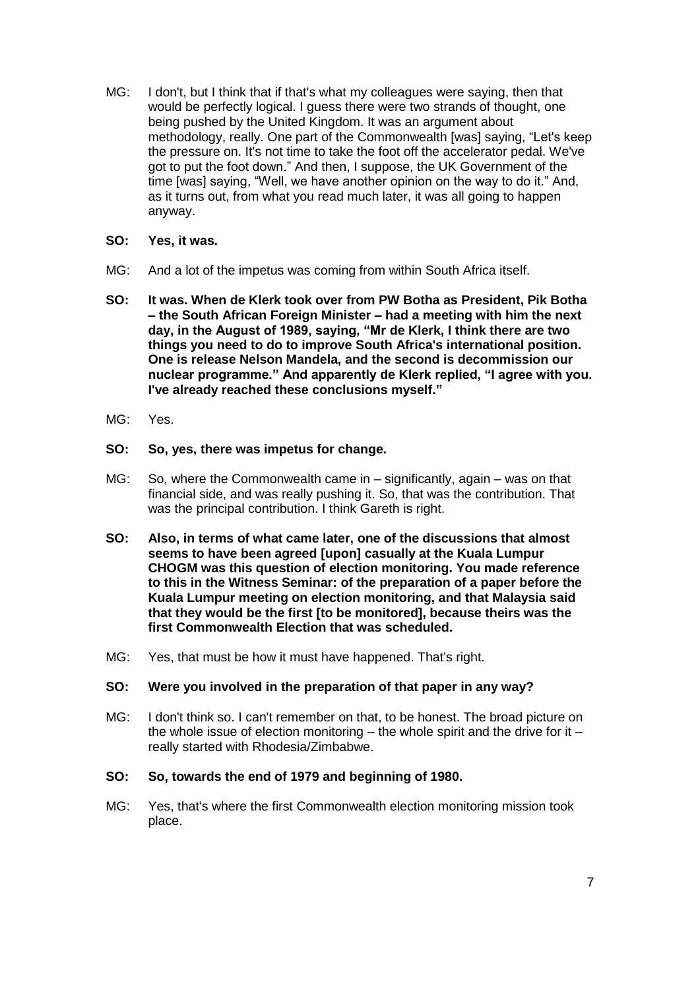MG: I don't, but I think that if that's what my colleagues were saying, then that would be perfectly logical. I guess there were two strands of thought, one being pushed by the United Kingdom. It was an argument about methodology, really. One part of the Commonwealth [was] saying, "Let's keep the pressure on. It's not time to take the foot off the accelerator pedal. We've got to put the foot down." And then, I suppose, the UK Government of the time [was] saying, "Well, we have another opinion on the way to do it." And, as it turns out, from what you read much later, it was all going to happen anyway.

#### **SO: Yes, it was.**

- MG: And a lot of the impetus was coming from within South Africa itself.
- **SO: It was. When de Klerk took over from PW Botha as President, Pik Botha – the South African Foreign Minister – had a meeting with him the next day, in the August of 1989, saying, "Mr de Klerk, I think there are two things you need to do to improve South Africa's international position. One is release Nelson Mandela, and the second is decommission our nuclear programme." And apparently de Klerk replied, "I agree with you. I've already reached these conclusions myself."**
- MG: Yes.
- **SO: So, yes, there was impetus for change.**
- MG: So, where the Commonwealth came in significantly, again was on that financial side, and was really pushing it. So, that was the contribution. That was the principal contribution. I think Gareth is right.
- **SO: Also, in terms of what came later, one of the discussions that almost seems to have been agreed [upon] casually at the Kuala Lumpur CHOGM was this question of election monitoring. You made reference to this in the Witness Seminar: of the preparation of a paper before the Kuala Lumpur meeting on election monitoring, and that Malaysia said that they would be the first [to be monitored], because theirs was the first Commonwealth Election that was scheduled.**
- MG: Yes, that must be how it must have happened. That's right.

#### **SO: Were you involved in the preparation of that paper in any way?**

MG: I don't think so. I can't remember on that, to be honest. The broad picture on the whole issue of election monitoring  $-$  the whole spirit and the drive for it  $$ really started with Rhodesia/Zimbabwe.

#### **SO: So, towards the end of 1979 and beginning of 1980.**

MG: Yes, that's where the first Commonwealth election monitoring mission took place.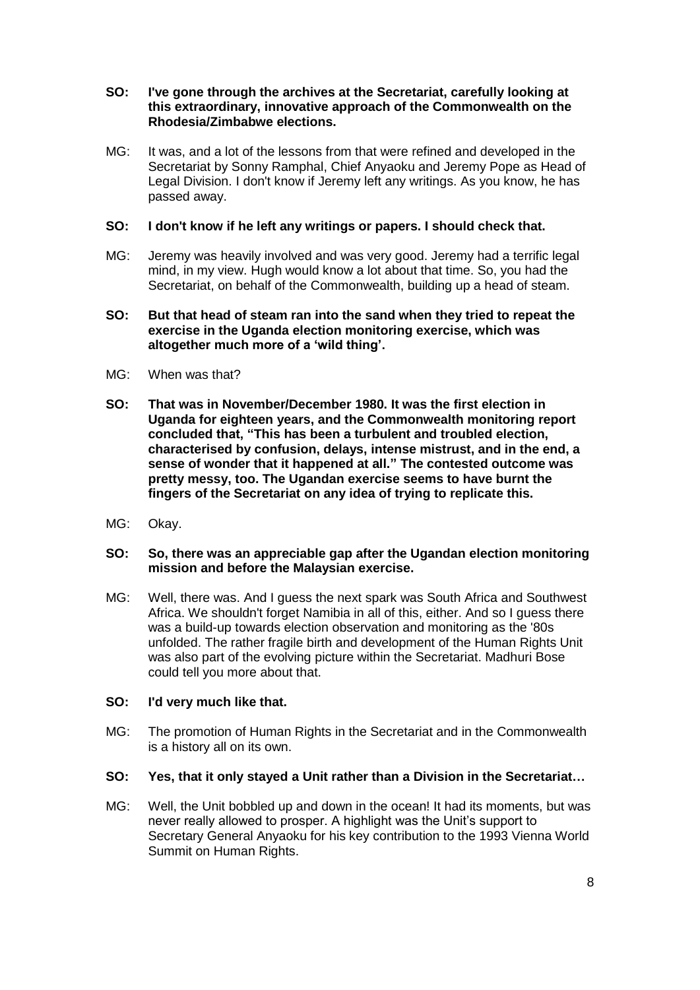#### **SO: I've gone through the archives at the Secretariat, carefully looking at this extraordinary, innovative approach of the Commonwealth on the Rhodesia/Zimbabwe elections.**

MG: It was, and a lot of the lessons from that were refined and developed in the Secretariat by Sonny Ramphal, Chief Anyaoku and Jeremy Pope as Head of Legal Division. I don't know if Jeremy left any writings. As you know, he has passed away.

### **SO: I don't know if he left any writings or papers. I should check that.**

MG: Jeremy was heavily involved and was very good. Jeremy had a terrific legal mind, in my view. Hugh would know a lot about that time. So, you had the Secretariat, on behalf of the Commonwealth, building up a head of steam.

#### **SO: But that head of steam ran into the sand when they tried to repeat the exercise in the Uganda election monitoring exercise, which was altogether much more of a 'wild thing'.**

- MG: When was that?
- **SO: That was in November/December 1980. It was the first election in Uganda for eighteen years, and the Commonwealth monitoring report concluded that, "This has been a turbulent and troubled election, characterised by confusion, delays, intense mistrust, and in the end, a sense of wonder that it happened at all." The contested outcome was pretty messy, too. The Ugandan exercise seems to have burnt the fingers of the Secretariat on any idea of trying to replicate this.**
- MG: Okay.

#### **SO: So, there was an appreciable gap after the Ugandan election monitoring mission and before the Malaysian exercise.**

MG: Well, there was. And I guess the next spark was South Africa and Southwest Africa. We shouldn't forget Namibia in all of this, either. And so I guess there was a build-up towards election observation and monitoring as the '80s unfolded. The rather fragile birth and development of the Human Rights Unit was also part of the evolving picture within the Secretariat. Madhuri Bose could tell you more about that.

### **SO: I'd very much like that.**

MG: The promotion of Human Rights in the Secretariat and in the Commonwealth is a history all on its own.

### **SO: Yes, that it only stayed a Unit rather than a Division in the Secretariat…**

MG: Well, the Unit bobbled up and down in the ocean! It had its moments, but was never really allowed to prosper. A highlight was the Unit's support to Secretary General Anyaoku for his key contribution to the 1993 Vienna World Summit on Human Rights.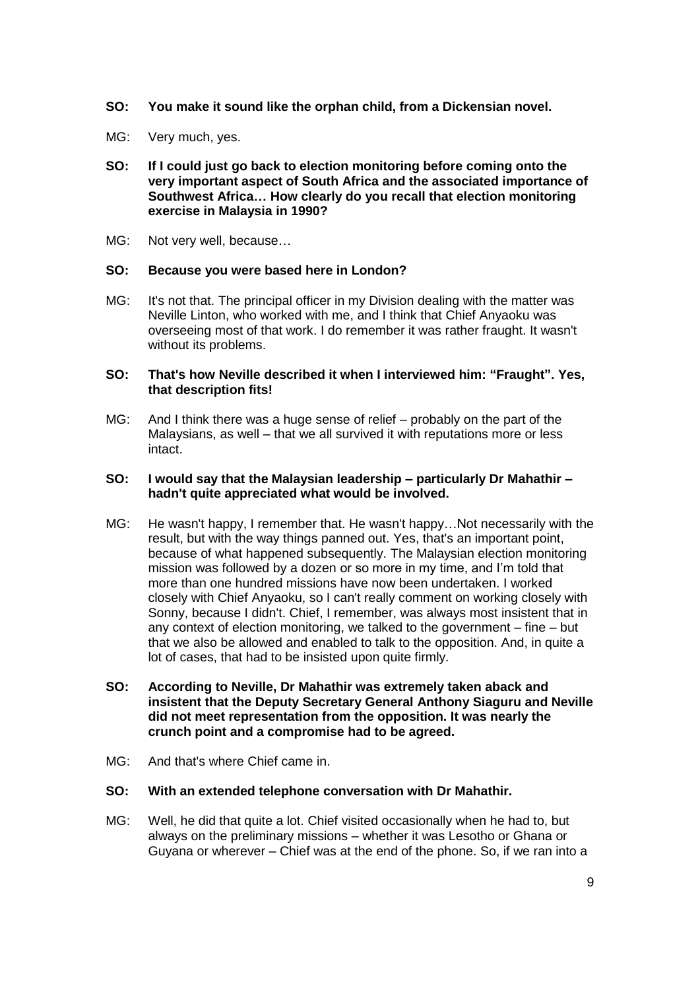- **SO: You make it sound like the orphan child, from a Dickensian novel.**
- MG: Very much, yes.
- **SO: If I could just go back to election monitoring before coming onto the very important aspect of South Africa and the associated importance of Southwest Africa… How clearly do you recall that election monitoring exercise in Malaysia in 1990?**
- MG: Not very well, because…

#### **SO: Because you were based here in London?**

MG: It's not that. The principal officer in my Division dealing with the matter was Neville Linton, who worked with me, and I think that Chief Anyaoku was overseeing most of that work. I do remember it was rather fraught. It wasn't without its problems.

#### **SO: That's how Neville described it when I interviewed him: "Fraught". Yes, that description fits!**

MG: And I think there was a huge sense of relief – probably on the part of the Malaysians, as well – that we all survived it with reputations more or less intact.

### **SO: I would say that the Malaysian leadership – particularly Dr Mahathir – hadn't quite appreciated what would be involved.**

- MG: He wasn't happy, I remember that. He wasn't happy…Not necessarily with the result, but with the way things panned out. Yes, that's an important point, because of what happened subsequently. The Malaysian election monitoring mission was followed by a dozen or so more in my time, and I'm told that more than one hundred missions have now been undertaken. I worked closely with Chief Anyaoku, so I can't really comment on working closely with Sonny, because I didn't. Chief, I remember, was always most insistent that in any context of election monitoring, we talked to the government – fine – but that we also be allowed and enabled to talk to the opposition. And, in quite a lot of cases, that had to be insisted upon quite firmly.
- **SO: According to Neville, Dr Mahathir was extremely taken aback and insistent that the Deputy Secretary General Anthony Siaguru and Neville did not meet representation from the opposition. It was nearly the crunch point and a compromise had to be agreed.**
- MG: And that's where Chief came in.
- **SO: With an extended telephone conversation with Dr Mahathir.**
- MG: Well, he did that quite a lot. Chief visited occasionally when he had to, but always on the preliminary missions – whether it was Lesotho or Ghana or Guyana or wherever – Chief was at the end of the phone. So, if we ran into a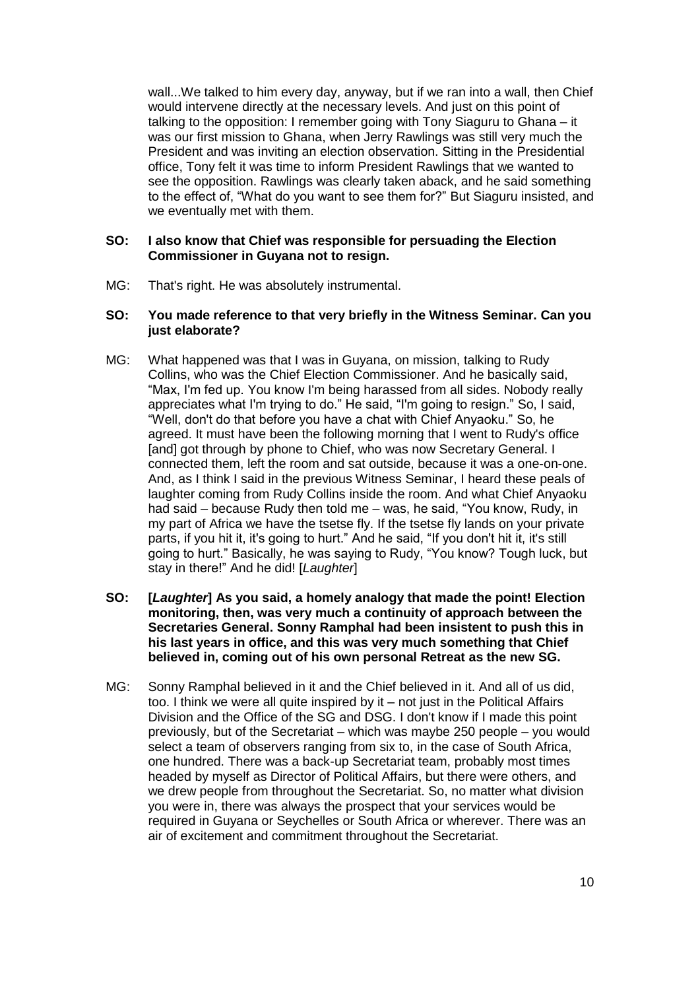wall...We talked to him every day, anyway, but if we ran into a wall, then Chief would intervene directly at the necessary levels. And just on this point of talking to the opposition: I remember going with Tony Siaguru to Ghana – it was our first mission to Ghana, when Jerry Rawlings was still very much the President and was inviting an election observation. Sitting in the Presidential office, Tony felt it was time to inform President Rawlings that we wanted to see the opposition. Rawlings was clearly taken aback, and he said something to the effect of, "What do you want to see them for?" But Siaguru insisted, and we eventually met with them.

#### **SO: I also know that Chief was responsible for persuading the Election Commissioner in Guyana not to resign.**

MG: That's right. He was absolutely instrumental.

### **SO: You made reference to that very briefly in the Witness Seminar. Can you just elaborate?**

- MG: What happened was that I was in Guyana, on mission, talking to Rudy Collins, who was the Chief Election Commissioner. And he basically said, "Max, I'm fed up. You know I'm being harassed from all sides. Nobody really appreciates what I'm trying to do." He said, "I'm going to resign." So, I said, "Well, don't do that before you have a chat with Chief Anyaoku." So, he agreed. It must have been the following morning that I went to Rudy's office [and] got through by phone to Chief, who was now Secretary General. I connected them, left the room and sat outside, because it was a one-on-one. And, as I think I said in the previous Witness Seminar, I heard these peals of laughter coming from Rudy Collins inside the room. And what Chief Anyaoku had said – because Rudy then told me – was, he said, "You know, Rudy, in my part of Africa we have the tsetse fly. If the tsetse fly lands on your private parts, if you hit it, it's going to hurt." And he said, "If you don't hit it, it's still going to hurt." Basically, he was saying to Rudy, "You know? Tough luck, but stay in there!" And he did! [*Laughter*]
- **SO: [***Laughter***] As you said, a homely analogy that made the point! Election monitoring, then, was very much a continuity of approach between the Secretaries General. Sonny Ramphal had been insistent to push this in his last years in office, and this was very much something that Chief believed in, coming out of his own personal Retreat as the new SG.**
- MG: Sonny Ramphal believed in it and the Chief believed in it. And all of us did, too. I think we were all quite inspired by it – not just in the Political Affairs Division and the Office of the SG and DSG. I don't know if I made this point previously, but of the Secretariat – which was maybe 250 people – you would select a team of observers ranging from six to, in the case of South Africa, one hundred. There was a back-up Secretariat team, probably most times headed by myself as Director of Political Affairs, but there were others, and we drew people from throughout the Secretariat. So, no matter what division you were in, there was always the prospect that your services would be required in Guyana or Seychelles or South Africa or wherever. There was an air of excitement and commitment throughout the Secretariat.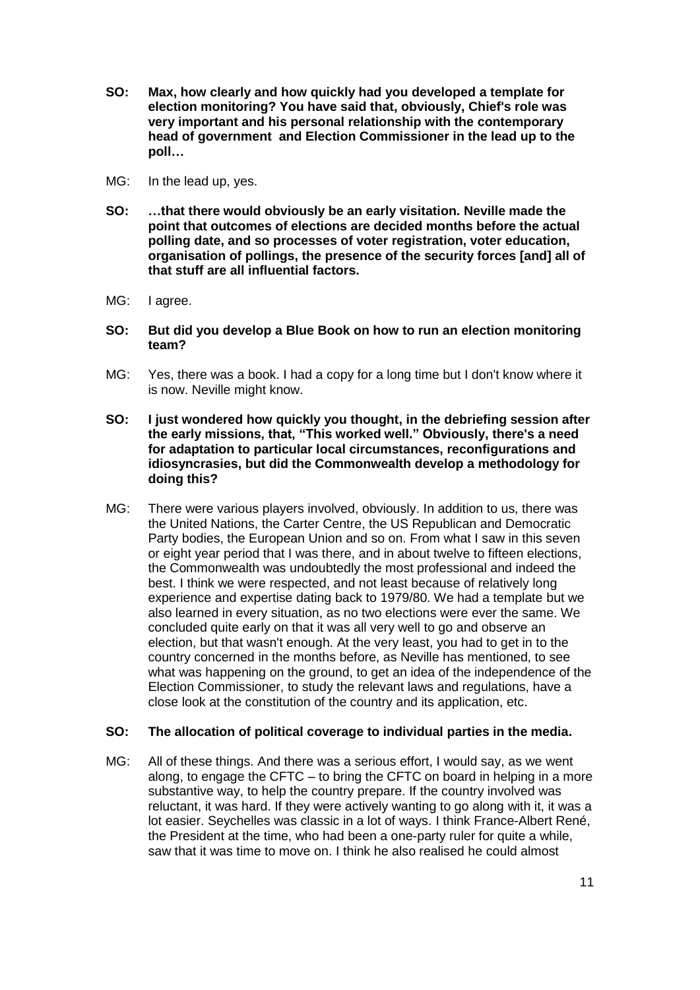- **SO: Max, how clearly and how quickly had you developed a template for election monitoring? You have said that, obviously, Chief's role was very important and his personal relationship with the contemporary head of government and Election Commissioner in the lead up to the poll…**
- MG: In the lead up, yes.
- **SO: …that there would obviously be an early visitation. Neville made the point that outcomes of elections are decided months before the actual polling date, and so processes of voter registration, voter education, organisation of pollings, the presence of the security forces [and] all of that stuff are all influential factors.**
- MG: I agree.
- **SO: But did you develop a Blue Book on how to run an election monitoring team?**
- MG: Yes, there was a book. I had a copy for a long time but I don't know where it is now. Neville might know.
- **SO: I just wondered how quickly you thought, in the debriefing session after the early missions, that, "This worked well." Obviously, there's a need for adaptation to particular local circumstances, reconfigurations and idiosyncrasies, but did the Commonwealth develop a methodology for doing this?**
- MG: There were various players involved, obviously. In addition to us, there was the United Nations, the Carter Centre, the US Republican and Democratic Party bodies, the European Union and so on. From what I saw in this seven or eight year period that I was there, and in about twelve to fifteen elections, the Commonwealth was undoubtedly the most professional and indeed the best. I think we were respected, and not least because of relatively long experience and expertise dating back to 1979/80. We had a template but we also learned in every situation, as no two elections were ever the same. We concluded quite early on that it was all very well to go and observe an election, but that wasn't enough. At the very least, you had to get in to the country concerned in the months before, as Neville has mentioned, to see what was happening on the ground, to get an idea of the independence of the Election Commissioner, to study the relevant laws and regulations, have a close look at the constitution of the country and its application, etc.

### **SO: The allocation of political coverage to individual parties in the media.**

MG: All of these things. And there was a serious effort, I would say, as we went along, to engage the CFTC – to bring the CFTC on board in helping in a more substantive way, to help the country prepare. If the country involved was reluctant, it was hard. If they were actively wanting to go along with it, it was a lot easier. Seychelles was classic in a lot of ways. I think France-Albert René, the President at the time, who had been a one-party ruler for quite a while, saw that it was time to move on. I think he also realised he could almost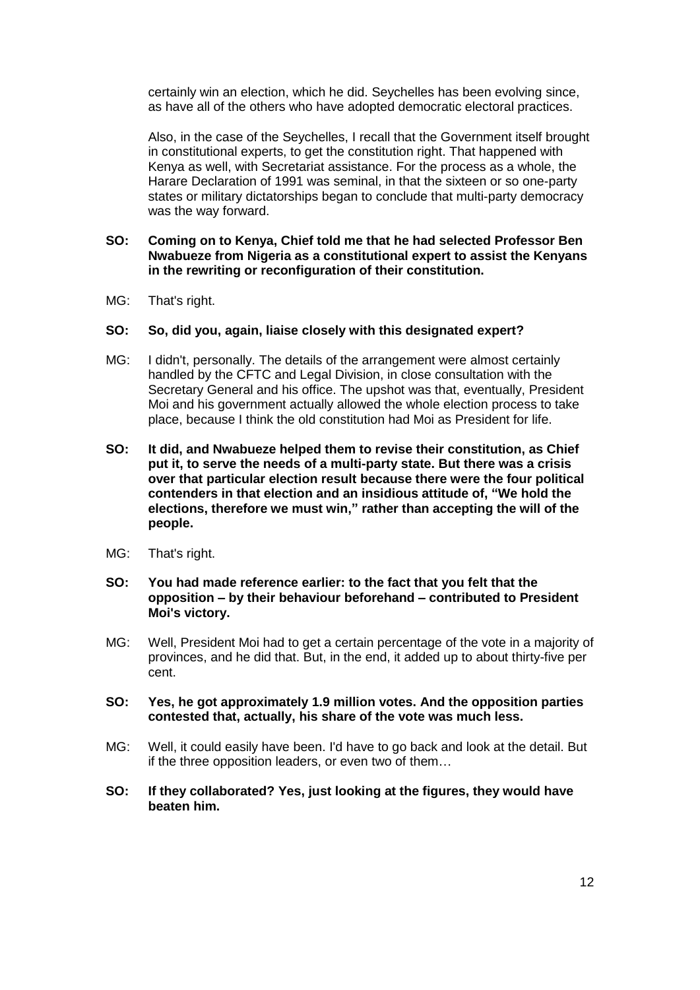certainly win an election, which he did. Seychelles has been evolving since, as have all of the others who have adopted democratic electoral practices.

Also, in the case of the Seychelles, I recall that the Government itself brought in constitutional experts, to get the constitution right. That happened with Kenya as well, with Secretariat assistance. For the process as a whole, the Harare Declaration of 1991 was seminal, in that the sixteen or so one-party states or military dictatorships began to conclude that multi-party democracy was the way forward.

#### **SO: Coming on to Kenya, Chief told me that he had selected Professor Ben Nwabueze from Nigeria as a constitutional expert to assist the Kenyans in the rewriting or reconfiguration of their constitution.**

MG: That's right.

#### **SO: So, did you, again, liaise closely with this designated expert?**

- MG: I didn't, personally. The details of the arrangement were almost certainly handled by the CFTC and Legal Division, in close consultation with the Secretary General and his office. The upshot was that, eventually, President Moi and his government actually allowed the whole election process to take place, because I think the old constitution had Moi as President for life.
- **SO: It did, and Nwabueze helped them to revise their constitution, as Chief put it, to serve the needs of a multi-party state. But there was a crisis over that particular election result because there were the four political contenders in that election and an insidious attitude of, "We hold the elections, therefore we must win," rather than accepting the will of the people.**
- MG: That's right.

#### **SO: You had made reference earlier: to the fact that you felt that the opposition – by their behaviour beforehand – contributed to President Moi's victory.**

MG: Well, President Moi had to get a certain percentage of the vote in a majority of provinces, and he did that. But, in the end, it added up to about thirty-five per cent.

#### **SO: Yes, he got approximately 1.9 million votes. And the opposition parties contested that, actually, his share of the vote was much less.**

- MG: Well, it could easily have been. I'd have to go back and look at the detail. But if the three opposition leaders, or even two of them…
- **SO: If they collaborated? Yes, just looking at the figures, they would have beaten him.**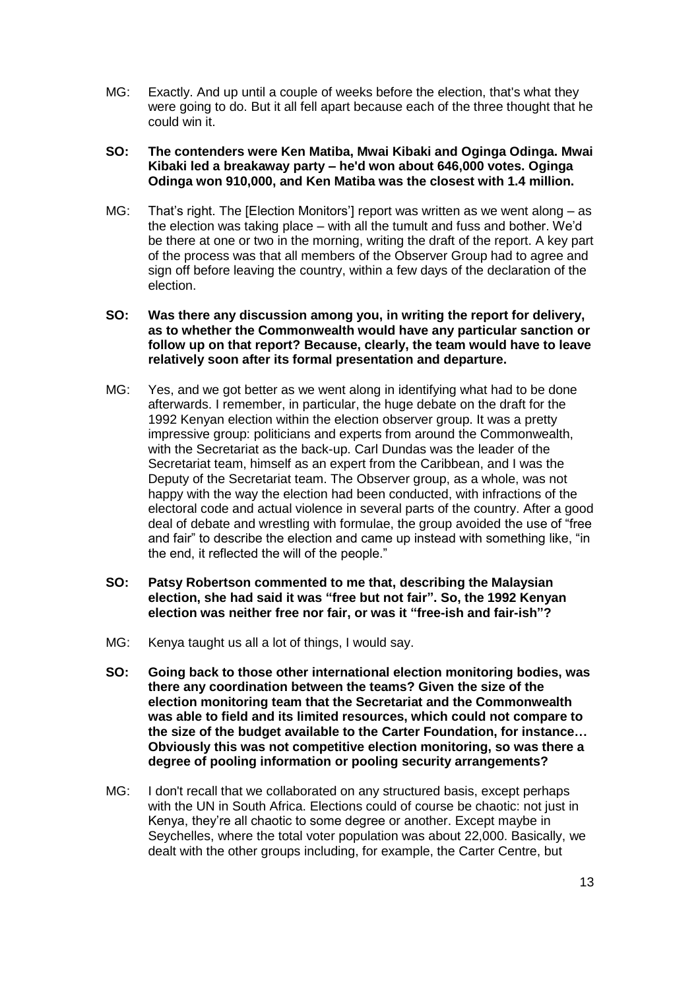MG: Exactly. And up until a couple of weeks before the election, that's what they were going to do. But it all fell apart because each of the three thought that he could win it.

#### **SO: The contenders were Ken Matiba, Mwai Kibaki and Oginga Odinga. Mwai Kibaki led a breakaway party – he'd won about 646,000 votes. Oginga Odinga won 910,000, and Ken Matiba was the closest with 1.4 million.**

MG: That's right. The [Election Monitors'] report was written as we went along – as the election was taking place – with all the tumult and fuss and bother. We'd be there at one or two in the morning, writing the draft of the report. A key part of the process was that all members of the Observer Group had to agree and sign off before leaving the country, within a few days of the declaration of the election.

#### **SO: Was there any discussion among you, in writing the report for delivery, as to whether the Commonwealth would have any particular sanction or follow up on that report? Because, clearly, the team would have to leave relatively soon after its formal presentation and departure.**

- MG: Yes, and we got better as we went along in identifying what had to be done afterwards. I remember, in particular, the huge debate on the draft for the 1992 Kenyan election within the election observer group. It was a pretty impressive group: politicians and experts from around the Commonwealth, with the Secretariat as the back-up. Carl Dundas was the leader of the Secretariat team, himself as an expert from the Caribbean, and I was the Deputy of the Secretariat team. The Observer group, as a whole, was not happy with the way the election had been conducted, with infractions of the electoral code and actual violence in several parts of the country. After a good deal of debate and wrestling with formulae, the group avoided the use of "free and fair" to describe the election and came up instead with something like, "in the end, it reflected the will of the people."
- **SO: Patsy Robertson commented to me that, describing the Malaysian election, she had said it was "free but not fair". So, the 1992 Kenyan election was neither free nor fair, or was it "free-ish and fair-ish"?**
- MG: Kenya taught us all a lot of things, I would say.
- **SO: Going back to those other international election monitoring bodies, was there any coordination between the teams? Given the size of the election monitoring team that the Secretariat and the Commonwealth was able to field and its limited resources, which could not compare to the size of the budget available to the Carter Foundation, for instance… Obviously this was not competitive election monitoring, so was there a degree of pooling information or pooling security arrangements?**
- MG: I don't recall that we collaborated on any structured basis, except perhaps with the UN in South Africa. Elections could of course be chaotic: not just in Kenya, they're all chaotic to some degree or another. Except maybe in Seychelles, where the total voter population was about 22,000. Basically, we dealt with the other groups including, for example, the Carter Centre, but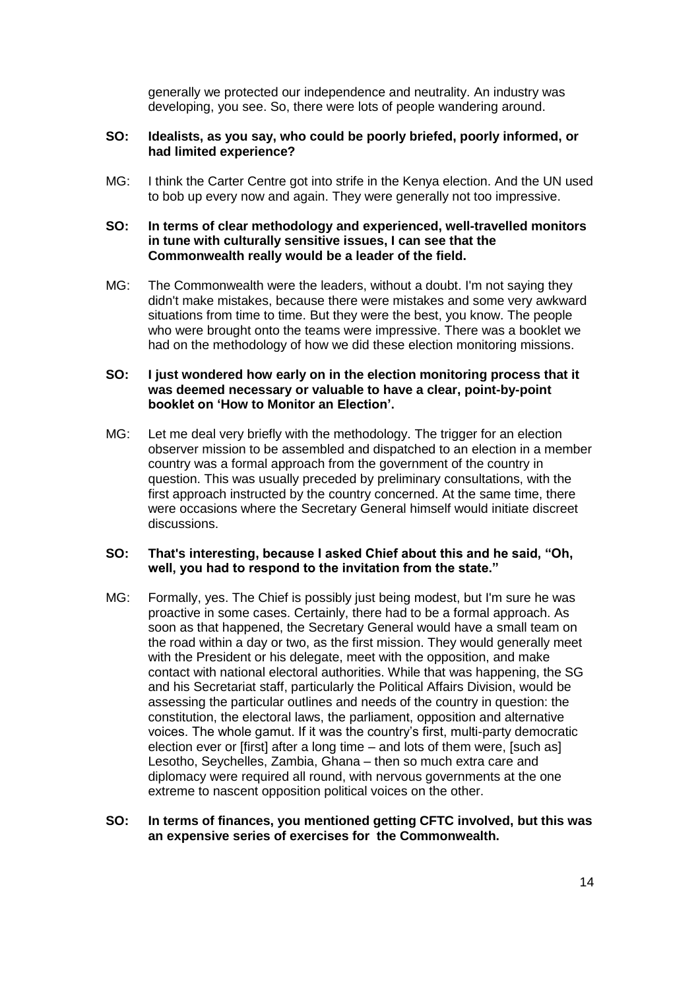generally we protected our independence and neutrality. An industry was developing, you see. So, there were lots of people wandering around.

#### **SO: Idealists, as you say, who could be poorly briefed, poorly informed, or had limited experience?**

MG: I think the Carter Centre got into strife in the Kenya election. And the UN used to bob up every now and again. They were generally not too impressive.

#### **SO: In terms of clear methodology and experienced, well-travelled monitors in tune with culturally sensitive issues, I can see that the Commonwealth really would be a leader of the field.**

MG: The Commonwealth were the leaders, without a doubt. I'm not saying they didn't make mistakes, because there were mistakes and some very awkward situations from time to time. But they were the best, you know. The people who were brought onto the teams were impressive. There was a booklet we had on the methodology of how we did these election monitoring missions.

### **SO: I just wondered how early on in the election monitoring process that it was deemed necessary or valuable to have a clear, point-by-point booklet on 'How to Monitor an Election'.**

MG: Let me deal very briefly with the methodology. The trigger for an election observer mission to be assembled and dispatched to an election in a member country was a formal approach from the government of the country in question. This was usually preceded by preliminary consultations, with the first approach instructed by the country concerned. At the same time, there were occasions where the Secretary General himself would initiate discreet discussions.

#### **SO: That's interesting, because I asked Chief about this and he said, "Oh, well, you had to respond to the invitation from the state."**

MG: Formally, yes. The Chief is possibly just being modest, but I'm sure he was proactive in some cases. Certainly, there had to be a formal approach. As soon as that happened, the Secretary General would have a small team on the road within a day or two, as the first mission. They would generally meet with the President or his delegate, meet with the opposition, and make contact with national electoral authorities. While that was happening, the SG and his Secretariat staff, particularly the Political Affairs Division, would be assessing the particular outlines and needs of the country in question: the constitution, the electoral laws, the parliament, opposition and alternative voices. The whole gamut. If it was the country's first, multi-party democratic election ever or [first] after a long time – and lots of them were, [such as] Lesotho, Seychelles, Zambia, Ghana – then so much extra care and diplomacy were required all round, with nervous governments at the one extreme to nascent opposition political voices on the other.

#### **SO: In terms of finances, you mentioned getting CFTC involved, but this was an expensive series of exercises for the Commonwealth.**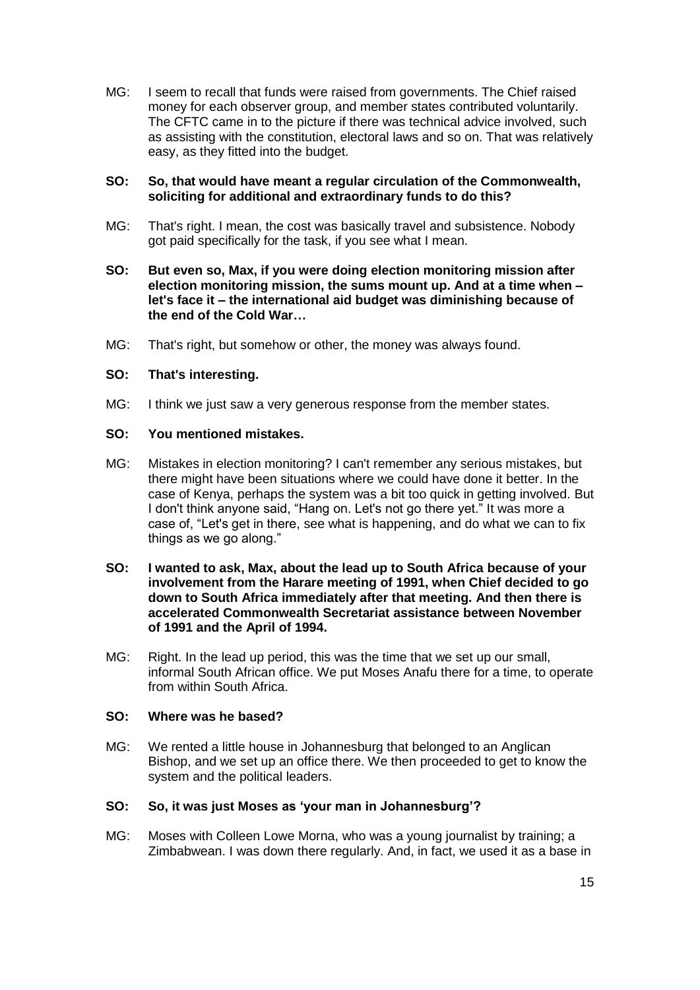MG: I seem to recall that funds were raised from governments. The Chief raised money for each observer group, and member states contributed voluntarily. The CFTC came in to the picture if there was technical advice involved, such as assisting with the constitution, electoral laws and so on. That was relatively easy, as they fitted into the budget.

#### **SO: So, that would have meant a regular circulation of the Commonwealth, soliciting for additional and extraordinary funds to do this?**

- MG: That's right. I mean, the cost was basically travel and subsistence. Nobody got paid specifically for the task, if you see what I mean.
- **SO: But even so, Max, if you were doing election monitoring mission after election monitoring mission, the sums mount up. And at a time when – let's face it – the international aid budget was diminishing because of the end of the Cold War…**
- MG: That's right, but somehow or other, the money was always found.

#### **SO: That's interesting.**

MG: I think we just saw a very generous response from the member states.

### **SO: You mentioned mistakes.**

- MG: Mistakes in election monitoring? I can't remember any serious mistakes, but there might have been situations where we could have done it better. In the case of Kenya, perhaps the system was a bit too quick in getting involved. But I don't think anyone said, "Hang on. Let's not go there yet." It was more a case of, "Let's get in there, see what is happening, and do what we can to fix things as we go along."
- **SO: I wanted to ask, Max, about the lead up to South Africa because of your involvement from the Harare meeting of 1991, when Chief decided to go down to South Africa immediately after that meeting. And then there is accelerated Commonwealth Secretariat assistance between November of 1991 and the April of 1994.**
- MG: Right. In the lead up period, this was the time that we set up our small, informal South African office. We put Moses Anafu there for a time, to operate from within South Africa.

#### **SO: Where was he based?**

MG: We rented a little house in Johannesburg that belonged to an Anglican Bishop, and we set up an office there. We then proceeded to get to know the system and the political leaders.

#### **SO: So, it was just Moses as 'your man in Johannesburg'?**

MG: Moses with Colleen Lowe Morna, who was a young journalist by training; a Zimbabwean. I was down there regularly. And, in fact, we used it as a base in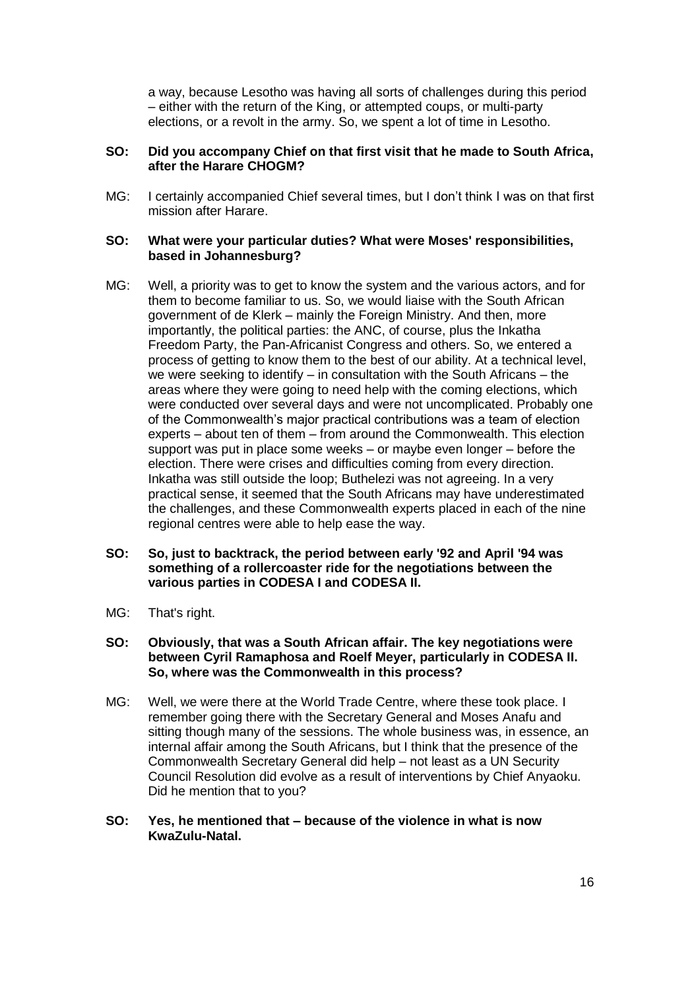a way, because Lesotho was having all sorts of challenges during this period – either with the return of the King, or attempted coups, or multi-party elections, or a revolt in the army. So, we spent a lot of time in Lesotho.

#### **SO: Did you accompany Chief on that first visit that he made to South Africa, after the Harare CHOGM?**

MG: I certainly accompanied Chief several times, but I don't think I was on that first mission after Harare.

#### **SO: What were your particular duties? What were Moses' responsibilities, based in Johannesburg?**

- MG: Well, a priority was to get to know the system and the various actors, and for them to become familiar to us. So, we would liaise with the South African government of de Klerk – mainly the Foreign Ministry. And then, more importantly, the political parties: the ANC, of course, plus the Inkatha Freedom Party, the Pan-Africanist Congress and others. So, we entered a process of getting to know them to the best of our ability. At a technical level, we were seeking to identify – in consultation with the South Africans – the areas where they were going to need help with the coming elections, which were conducted over several days and were not uncomplicated. Probably one of the Commonwealth's major practical contributions was a team of election experts – about ten of them – from around the Commonwealth. This election support was put in place some weeks – or maybe even longer – before the election. There were crises and difficulties coming from every direction. Inkatha was still outside the loop; Buthelezi was not agreeing. In a very practical sense, it seemed that the South Africans may have underestimated the challenges, and these Commonwealth experts placed in each of the nine regional centres were able to help ease the way.
- **SO: So, just to backtrack, the period between early '92 and April '94 was something of a rollercoaster ride for the negotiations between the various parties in CODESA I and CODESA II.**
- MG: That's right.

#### **SO: Obviously, that was a South African affair. The key negotiations were between Cyril Ramaphosa and Roelf Meyer, particularly in CODESA II. So, where was the Commonwealth in this process?**

MG: Well, we were there at the World Trade Centre, where these took place. I remember going there with the Secretary General and Moses Anafu and sitting though many of the sessions. The whole business was, in essence, an internal affair among the South Africans, but I think that the presence of the Commonwealth Secretary General did help – not least as a UN Security Council Resolution did evolve as a result of interventions by Chief Anyaoku. Did he mention that to you?

### **SO: Yes, he mentioned that – because of the violence in what is now KwaZulu-Natal.**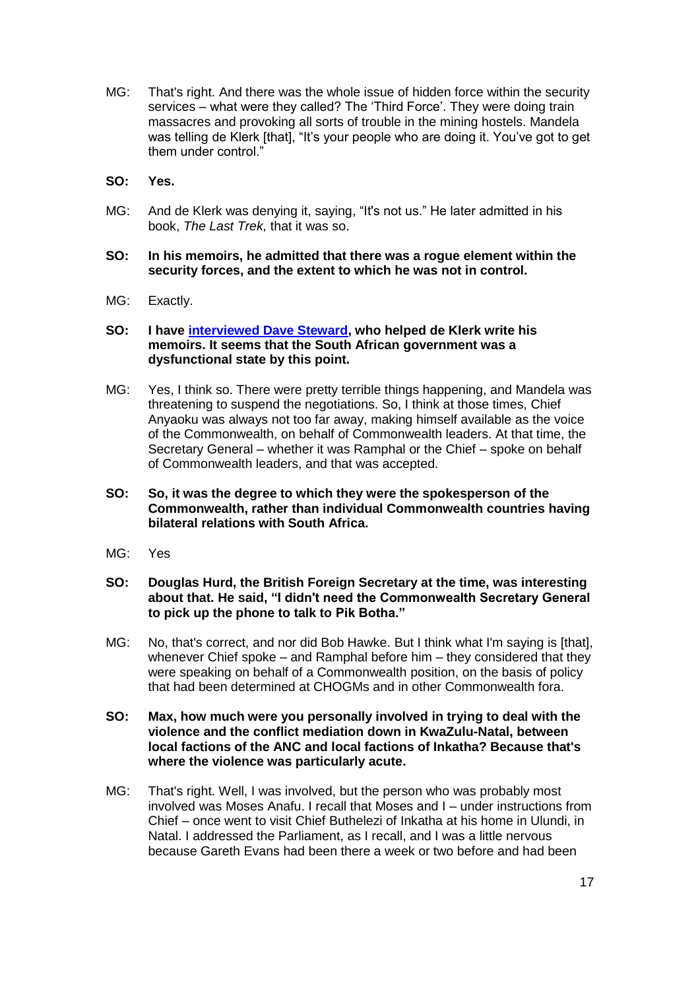- MG: That's right. And there was the whole issue of hidden force within the security services – what were they called? The 'Third Force'. They were doing train massacres and provoking all sorts of trouble in the mining hostels. Mandela was telling de Klerk [that], "It's your people who are doing it. You've got to get them under control."
- **SO: Yes.**
- MG: And de Klerk was denying it, saying, "It's not us." He later admitted in his book, *The Last Trek,* that it was so.

#### **SO: In his memoirs, he admitted that there was a rogue element within the security forces, and the extent to which he was not in control.**

MG: Exactly.

#### **SO: I have [interviewed Dave Steward,](http://www.commonwealthoralhistories.org/2015/interview-with-dave-steward/) who helped de Klerk write his memoirs. It seems that the South African government was a dysfunctional state by this point.**

- MG: Yes, I think so. There were pretty terrible things happening, and Mandela was threatening to suspend the negotiations. So, I think at those times, Chief Anyaoku was always not too far away, making himself available as the voice of the Commonwealth, on behalf of Commonwealth leaders. At that time, the Secretary General – whether it was Ramphal or the Chief – spoke on behalf of Commonwealth leaders, and that was accepted.
- **SO: So, it was the degree to which they were the spokesperson of the Commonwealth, rather than individual Commonwealth countries having bilateral relations with South Africa.**
- MG: Yes
- **SO: Douglas Hurd, the British Foreign Secretary at the time, was interesting about that. He said, "I didn't need the Commonwealth Secretary General to pick up the phone to talk to Pik Botha."**
- MG: No, that's correct, and nor did Bob Hawke. But I think what I'm saying is [that], whenever Chief spoke – and Ramphal before him – they considered that they were speaking on behalf of a Commonwealth position, on the basis of policy that had been determined at CHOGMs and in other Commonwealth fora.
- **SO: Max, how much were you personally involved in trying to deal with the violence and the conflict mediation down in KwaZulu-Natal, between local factions of the ANC and local factions of Inkatha? Because that's where the violence was particularly acute.**
- MG: That's right. Well, I was involved, but the person who was probably most involved was Moses Anafu. I recall that Moses and I – under instructions from Chief – once went to visit Chief Buthelezi of Inkatha at his home in Ulundi, in Natal. I addressed the Parliament, as I recall, and I was a little nervous because Gareth Evans had been there a week or two before and had been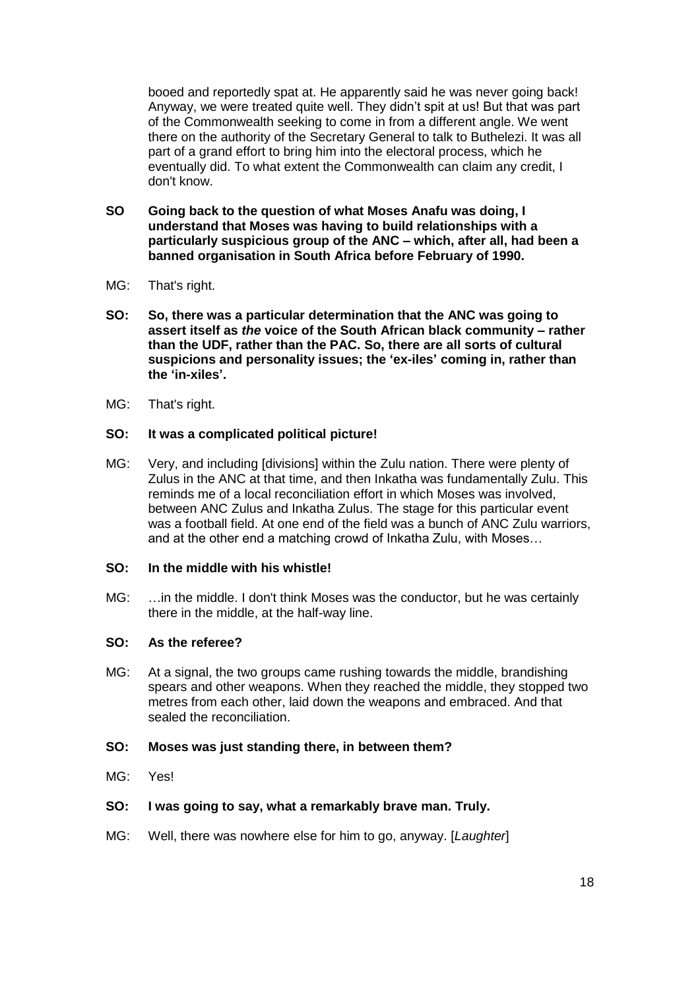booed and reportedly spat at. He apparently said he was never going back! Anyway, we were treated quite well. They didn't spit at us! But that was part of the Commonwealth seeking to come in from a different angle. We went there on the authority of the Secretary General to talk to Buthelezi. It was all part of a grand effort to bring him into the electoral process, which he eventually did. To what extent the Commonwealth can claim any credit, I don't know.

- **SO Going back to the question of what Moses Anafu was doing, I understand that Moses was having to build relationships with a particularly suspicious group of the ANC – which, after all, had been a banned organisation in South Africa before February of 1990.**
- MG: That's right.
- **SO: So, there was a particular determination that the ANC was going to assert itself as** *the* **voice of the South African black community – rather than the UDF, rather than the PAC. So, there are all sorts of cultural suspicions and personality issues; the 'ex-iles' coming in, rather than the 'in-xiles'.**
- MG: That's right.

#### **SO: It was a complicated political picture!**

MG: Very, and including [divisions] within the Zulu nation. There were plenty of Zulus in the ANC at that time, and then Inkatha was fundamentally Zulu. This reminds me of a local reconciliation effort in which Moses was involved, between ANC Zulus and Inkatha Zulus. The stage for this particular event was a football field. At one end of the field was a bunch of ANC Zulu warriors, and at the other end a matching crowd of Inkatha Zulu, with Moses…

#### **SO: In the middle with his whistle!**

MG: …in the middle. I don't think Moses was the conductor, but he was certainly there in the middle, at the half-way line.

#### **SO: As the referee?**

MG: At a signal, the two groups came rushing towards the middle, brandishing spears and other weapons. When they reached the middle, they stopped two metres from each other, laid down the weapons and embraced. And that sealed the reconciliation.

#### **SO: Moses was just standing there, in between them?**

MG: Yes!

### **SO: I was going to say, what a remarkably brave man. Truly.**

MG: Well, there was nowhere else for him to go, anyway. [*Laughter*]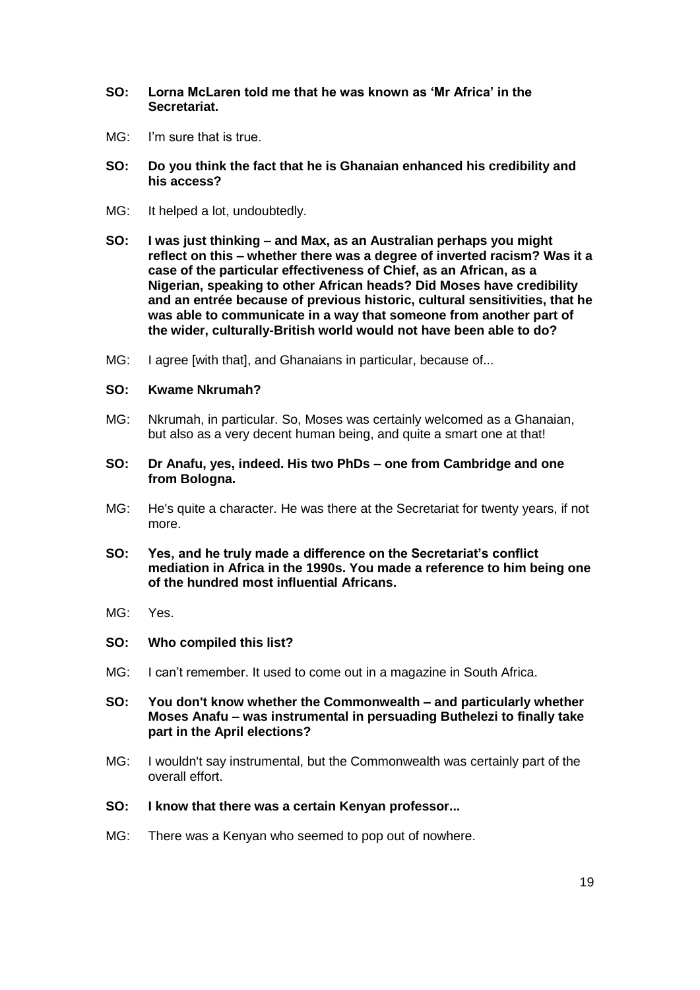- **SO: Lorna McLaren told me that he was known as 'Mr Africa' in the Secretariat.**
- MG: I'm sure that is true.
- **SO: Do you think the fact that he is Ghanaian enhanced his credibility and his access?**
- MG: It helped a lot, undoubtedly.
- **SO: I was just thinking – and Max, as an Australian perhaps you might reflect on this – whether there was a degree of inverted racism? Was it a case of the particular effectiveness of Chief, as an African, as a Nigerian, speaking to other African heads? Did Moses have credibility and an entrée because of previous historic, cultural sensitivities, that he was able to communicate in a way that someone from another part of the wider, culturally-British world would not have been able to do?**
- MG: I agree [with that], and Ghanaians in particular, because of...

#### **SO: Kwame Nkrumah?**

- MG: Nkrumah, in particular. So, Moses was certainly welcomed as a Ghanaian, but also as a very decent human being, and quite a smart one at that!
- **SO: Dr Anafu, yes, indeed. His two PhDs – one from Cambridge and one from Bologna.**
- MG: He's quite a character. He was there at the Secretariat for twenty years, if not more.
- **SO: Yes, and he truly made a difference on the Secretariat's conflict mediation in Africa in the 1990s. You made a reference to him being one of the hundred most influential Africans.**
- MG: Yes.
- **SO: Who compiled this list?**
- MG: I can't remember. It used to come out in a magazine in South Africa.
- **SO: You don't know whether the Commonwealth – and particularly whether Moses Anafu – was instrumental in persuading Buthelezi to finally take part in the April elections?**
- MG: I wouldn't say instrumental, but the Commonwealth was certainly part of the overall effort.
- **SO: I know that there was a certain Kenyan professor...**
- MG: There was a Kenyan who seemed to pop out of nowhere.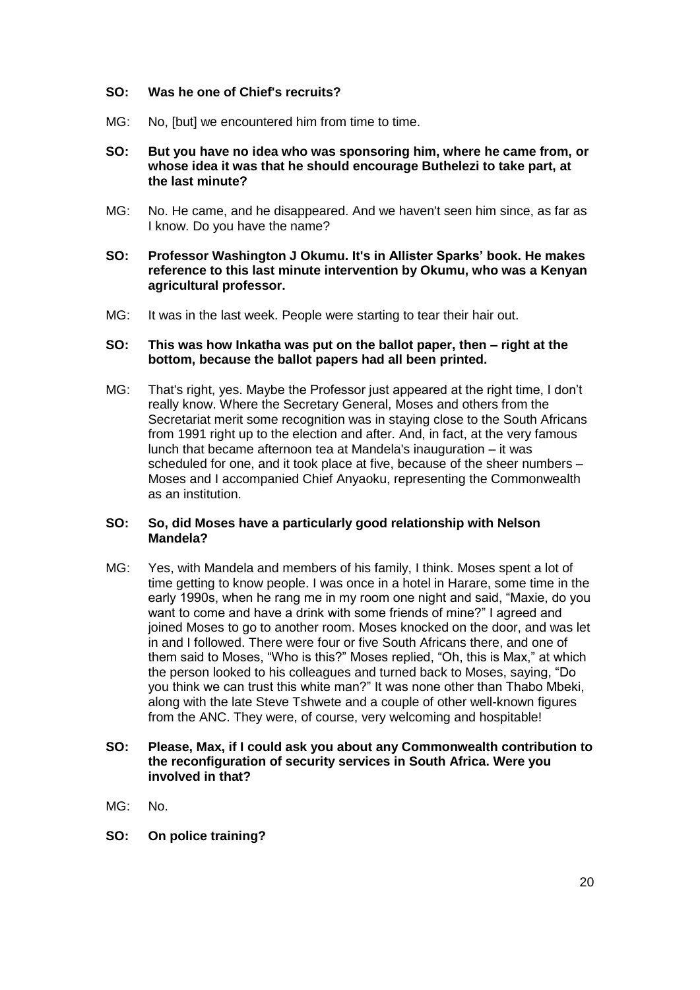### **SO: Was he one of Chief's recruits?**

MG: No, [but] we encountered him from time to time.

#### **SO: But you have no idea who was sponsoring him, where he came from, or whose idea it was that he should encourage Buthelezi to take part, at the last minute?**

MG: No. He came, and he disappeared. And we haven't seen him since, as far as I know. Do you have the name?

#### **SO: Professor Washington J Okumu. It's in Allister Sparks' book. He makes reference to this last minute intervention by Okumu, who was a Kenyan agricultural professor.**

MG: It was in the last week. People were starting to tear their hair out.

#### **SO: This was how Inkatha was put on the ballot paper, then – right at the bottom, because the ballot papers had all been printed.**

MG: That's right, yes. Maybe the Professor just appeared at the right time, I don't really know. Where the Secretary General, Moses and others from the Secretariat merit some recognition was in staying close to the South Africans from 1991 right up to the election and after. And, in fact, at the very famous lunch that became afternoon tea at Mandela's inauguration – it was scheduled for one, and it took place at five, because of the sheer numbers – Moses and I accompanied Chief Anyaoku, representing the Commonwealth as an institution.

### **SO: So, did Moses have a particularly good relationship with Nelson Mandela?**

MG: Yes, with Mandela and members of his family, I think. Moses spent a lot of time getting to know people. I was once in a hotel in Harare, some time in the early 1990s, when he rang me in my room one night and said, "Maxie, do you want to come and have a drink with some friends of mine?" I agreed and joined Moses to go to another room. Moses knocked on the door, and was let in and I followed. There were four or five South Africans there, and one of them said to Moses, "Who is this?" Moses replied, "Oh, this is Max," at which the person looked to his colleagues and turned back to Moses, saying, "Do you think we can trust this white man?" It was none other than Thabo Mbeki, along with the late Steve Tshwete and a couple of other well-known figures from the ANC. They were, of course, very welcoming and hospitable!

### **SO: Please, Max, if I could ask you about any Commonwealth contribution to the reconfiguration of security services in South Africa. Were you involved in that?**

- $MG:$  No.
- **SO: On police training?**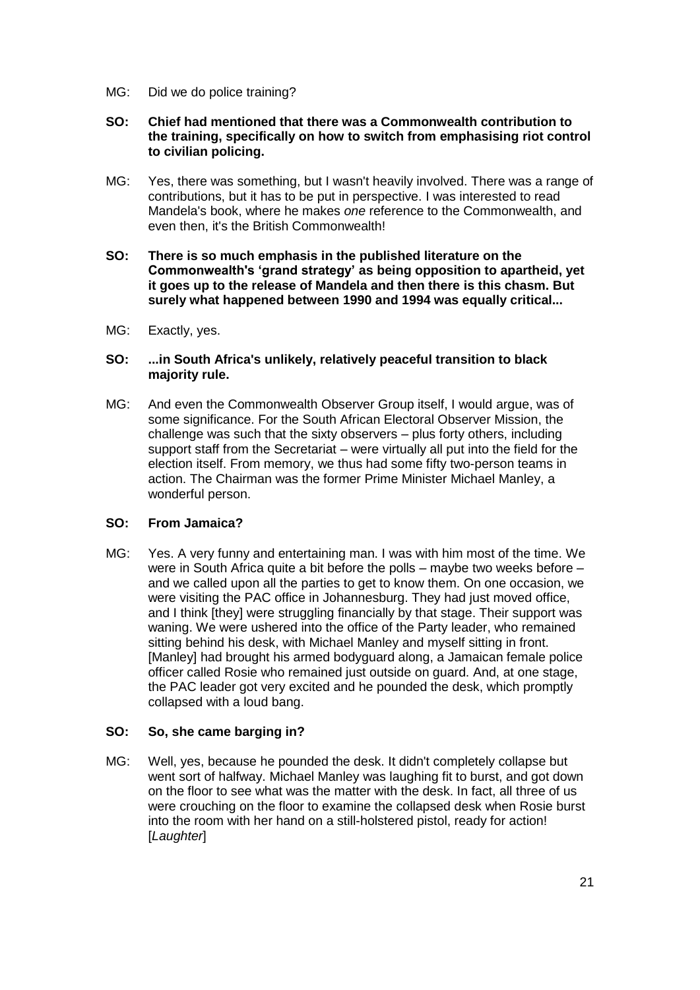MG: Did we do police training?

### **SO: Chief had mentioned that there was a Commonwealth contribution to the training, specifically on how to switch from emphasising riot control to civilian policing.**

- MG: Yes, there was something, but I wasn't heavily involved. There was a range of contributions, but it has to be put in perspective. I was interested to read Mandela's book, where he makes *one* reference to the Commonwealth, and even then, it's the British Commonwealth!
- **SO: There is so much emphasis in the published literature on the Commonwealth's 'grand strategy' as being opposition to apartheid, yet it goes up to the release of Mandela and then there is this chasm. But surely what happened between 1990 and 1994 was equally critical...**
- MG: Exactly, yes.

### **SO: ...in South Africa's unlikely, relatively peaceful transition to black majority rule.**

MG: And even the Commonwealth Observer Group itself, I would argue, was of some significance. For the South African Electoral Observer Mission, the challenge was such that the sixty observers – plus forty others, including support staff from the Secretariat – were virtually all put into the field for the election itself. From memory, we thus had some fifty two-person teams in action. The Chairman was the former Prime Minister Michael Manley, a wonderful person.

### **SO: From Jamaica?**

MG: Yes. A very funny and entertaining man. I was with him most of the time. We were in South Africa quite a bit before the polls – maybe two weeks before – and we called upon all the parties to get to know them. On one occasion, we were visiting the PAC office in Johannesburg. They had just moved office, and I think [they] were struggling financially by that stage. Their support was waning. We were ushered into the office of the Party leader, who remained sitting behind his desk, with Michael Manley and myself sitting in front. [Manley] had brought his armed bodyguard along, a Jamaican female police officer called Rosie who remained just outside on guard. And, at one stage, the PAC leader got very excited and he pounded the desk, which promptly collapsed with a loud bang.

### **SO: So, she came barging in?**

MG: Well, yes, because he pounded the desk. It didn't completely collapse but went sort of halfway. Michael Manley was laughing fit to burst, and got down on the floor to see what was the matter with the desk. In fact, all three of us were crouching on the floor to examine the collapsed desk when Rosie burst into the room with her hand on a still-holstered pistol, ready for action! [*Laughter*]